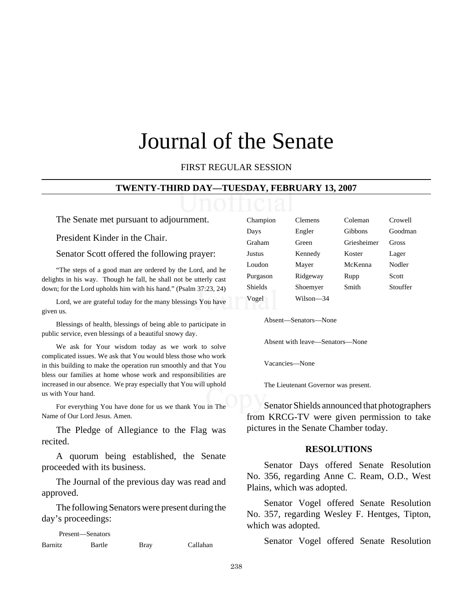# Journal of the Senate

# FIRST REGULAR SESSION

#### **TWENTY-THIRD DAY—TUESDAY, FEBRUARY 13, 2007**

The Senate met pursuant to adjournment.

President Kinder in the Chair.

Senator Scott offered the following prayer:

"The steps of a good man are ordered by the Lord, and he delights in his way. Though he fall, he shall not be utterly cast down; for the Lord upholds him with his hand." (Psalm 37:23, 24)

Lord, we are grateful today for the many blessings You have given us.

Blessings of health, blessings of being able to participate in public service, even blessings of a beautiful snowy day.

We ask for Your wisdom today as we work to solve complicated issues. We ask that You would bless those who work in this building to make the operation run smoothly and that You bless our families at home whose work and responsibilities are increased in our absence. We pray especially that You will uphold us with Your hand.

For everything You have done for us we thank You in The Name of Our Lord Jesus. Amen.

The Pledge of Allegiance to the Flag was recited.

A quorum being established, the Senate proceeded with its business.

The Journal of the previous day was read and approved.

The following Senators were present during the day's proceedings:

Present—Senators Barnitz Bartle Bray Callahan

| Champion       | Clemens   | Coleman     | Crowell  |
|----------------|-----------|-------------|----------|
| Days           | Engler    | Gibbons     | Goodman  |
| Graham         | Green     | Griesheimer | Gross    |
| Justus         | Kennedy   | Koster      | Lager    |
| Loudon         | Mayer     | McKenna     | Nodler   |
| Purgason       | Ridgeway  | Rupp        | Scott    |
| <b>Shields</b> | Shoemyer  | Smith       | Stouffer |
| Vogel          | Wilson—34 |             |          |
|                |           |             |          |

Absent—Senators—None

Absent with leave—Senators—None

Vacancies—None

The Lieutenant Governor was present.

Senator Shields announced that photographers from KRCG-TV were given permission to take pictures in the Senate Chamber today.

#### **RESOLUTIONS**

Senator Days offered Senate Resolution No. 356, regarding Anne C. Ream, O.D., West Plains, which was adopted.

Senator Vogel offered Senate Resolution No. 357, regarding Wesley F. Hentges, Tipton, which was adopted.

Senator Vogel offered Senate Resolution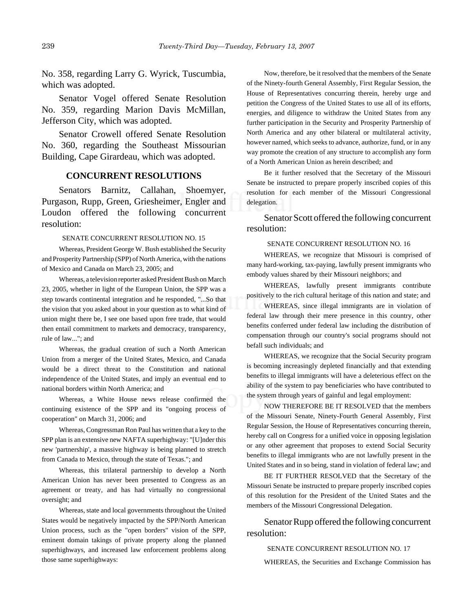No. 358, regarding Larry G. Wyrick, Tuscumbia, which was adopted.

Senator Vogel offered Senate Resolution No. 359, regarding Marion Davis McMillan, Jefferson City, which was adopted.

Senator Crowell offered Senate Resolution No. 360, regarding the Southeast Missourian Building, Cape Girardeau, which was adopted.

#### **CONCURRENT RESOLUTIONS**

Senators Barnitz, Callahan, Shoemyer, Purgason, Rupp, Green, Griesheimer, Engler and Loudon offered the following concurrent resolution:

#### SENATE CONCURRENT RESOLUTION NO. 15

Whereas, President George W. Bush established the Security and Prosperity Partnership (SPP) of North America, with the nations of Mexico and Canada on March 23, 2005; and

Whereas, a television reporter asked President Bush on March 23, 2005, whether in light of the European Union, the SPP was a step towards continental integration and he responded, "...So that the vision that you asked about in your question as to what kind of union might there be, I see one based upon free trade, that would then entail commitment to markets and democracy, transparency, rule of law..."; and

Whereas, the gradual creation of such a North American Union from a merger of the United States, Mexico, and Canada would be a direct threat to the Constitution and national independence of the United States, and imply an eventual end to national borders within North America; and

Whereas, a White House news release confirmed the continuing existence of the SPP and its "ongoing process of cooperation" on March 31, 2006; and

Whereas, Congressman Ron Paul has written that a key to the SPP plan is an extensive new NAFTA superhighway: "[U]nder this new 'partnership', a massive highway is being planned to stretch from Canada to Mexico, through the state of Texas."; and

Whereas, this trilateral partnership to develop a North American Union has never been presented to Congress as an agreement or treaty, and has had virtually no congressional oversight; and

Whereas, state and local governments throughout the United States would be negatively impacted by the SPP/North American Union process, such as the "open borders" vision of the SPP, eminent domain takings of private property along the planned superhighways, and increased law enforcement problems along those same superhighways:

Now, therefore, be it resolved that the members of the Senate of the Ninety-fourth General Assembly, First Regular Session, the House of Representatives concurring therein, hereby urge and petition the Congress of the United States to use all of its efforts, energies, and diligence to withdraw the United States from any further participation in the Security and Prosperity Partnership of North America and any other bilateral or multilateral activity, however named, which seeks to advance, authorize, fund, or in any way promote the creation of any structure to accomplish any form of a North American Union as herein described; and

Be it further resolved that the Secretary of the Missouri Senate be instructed to prepare properly inscribed copies of this resolution for each member of the Missouri Congressional delegation.

Senator Scott offered the following concurrent resolution:

#### SENATE CONCURRENT RESOLUTION NO. 16

WHEREAS, we recognize that Missouri is comprised of many hard-working, tax-paying, lawfully present immigrants who embody values shared by their Missouri neighbors; and

WHEREAS, lawfully present immigrants contribute positively to the rich cultural heritage of this nation and state; and

WHEREAS, since illegal immigrants are in violation of federal law through their mere presence in this country, other benefits conferred under federal law including the distribution of compensation through our country's social programs should not befall such individuals; and

WHEREAS, we recognize that the Social Security program is becoming increasingly depleted financially and that extending benefits to illegal immigrants will have a deleterious effect on the ability of the system to pay beneficiaries who have contributed to the system through years of gainful and legal employment:

NOW THEREFORE BE IT RESOLVED that the members of the Missouri Senate, Ninety-Fourth General Assembly, First Regular Session, the House of Representatives concurring therein, hereby call on Congress for a unified voice in opposing legislation or any other agreement that proposes to extend Social Security benefits to illegal immigrants who are not lawfully present in the United States and in so being, stand in violation of federal law; and

BE IT FURTHER RESOLVED that the Secretary of the Missouri Senate be instructed to prepare properly inscribed copies of this resolution for the President of the United States and the members of the Missouri Congressional Delegation.

Senator Rupp offered the following concurrent resolution:

SENATE CONCURRENT RESOLUTION NO. 17

WHEREAS, the Securities and Exchange Commission has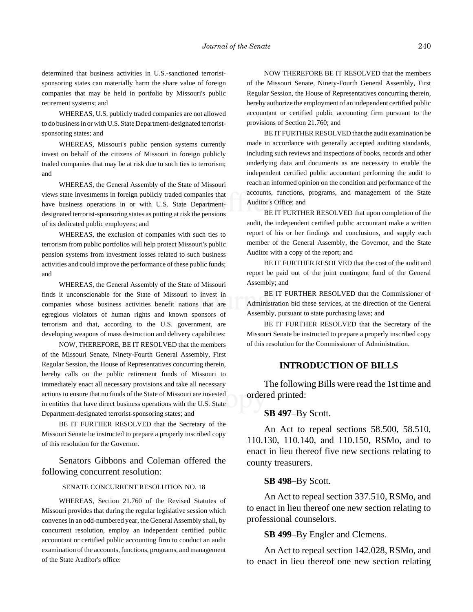determined that business activities in U.S.-sanctioned terroristsponsoring states can materially harm the share value of foreign companies that may be held in portfolio by Missouri's public retirement systems; and

WHEREAS, U.S. publicly traded companies are not allowed to do business in or with U.S. State Department-designated terroristsponsoring states; and

WHEREAS, Missouri's public pension systems currently invest on behalf of the citizens of Missouri in foreign publicly traded companies that may be at risk due to such ties to terrorism; and

WHEREAS, the General Assembly of the State of Missouri views state investments in foreign publicly traded companies that have business operations in or with U.S. State Departmentdesignated terrorist-sponsoring states as putting at risk the pensions of its dedicated public employees; and

WHEREAS, the exclusion of companies with such ties to terrorism from public portfolios will help protect Missouri's public pension systems from investment losses related to such business activities and could improve the performance of these public funds; and

WHEREAS, the General Assembly of the State of Missouri finds it unconscionable for the State of Missouri to invest in companies whose business activities benefit nations that are egregious violators of human rights and known sponsors of terrorism and that, according to the U.S. government, are developing weapons of mass destruction and delivery capabilities:

NOW, THEREFORE, BE IT RESOLVED that the members of the Missouri Senate, Ninety-Fourth General Assembly, First Regular Session, the House of Representatives concurring therein, hereby calls on the public retirement funds of Missouri to immediately enact all necessary provisions and take all necessary actions to ensure that no funds of the State of Missouri are invested in entities that have direct business operations with the U.S. State Department-designated terrorist-sponsoring states; and

BE IT FURTHER RESOLVED that the Secretary of the Missouri Senate be instructed to prepare a properly inscribed copy of this resolution for the Governor.

Senators Gibbons and Coleman offered the following concurrent resolution:

#### SENATE CONCURRENT RESOLUTION NO. 18

WHEREAS, Section 21.760 of the Revised Statutes of Missouri provides that during the regular legislative session which convenes in an odd-numbered year, the General Assembly shall, by concurrent resolution, employ an independent certified public accountant or certified public accounting firm to conduct an audit examination of the accounts, functions, programs, and management of the State Auditor's office:

NOW THEREFORE BE IT RESOLVED that the members of the Missouri Senate, Ninety-Fourth General Assembly, First Regular Session, the House of Representatives concurring therein, hereby authorize the employment of an independent certified public accountant or certified public accounting firm pursuant to the provisions of Section 21.760; and

BE IT FURTHER RESOLVED that the audit examination be made in accordance with generally accepted auditing standards, including such reviews and inspections of books, records and other underlying data and documents as are necessary to enable the independent certified public accountant performing the audit to reach an informed opinion on the condition and performance of the accounts, functions, programs, and management of the State Auditor's Office; and

BE IT FURTHER RESOLVED that upon completion of the audit, the independent certified public accountant make a written report of his or her findings and conclusions, and supply each member of the General Assembly, the Governor, and the State Auditor with a copy of the report; and

BE IT FURTHER RESOLVED that the cost of the audit and report be paid out of the joint contingent fund of the General Assembly; and

BE IT FURTHER RESOLVED that the Commissioner of Administration bid these services, at the direction of the General Assembly, pursuant to state purchasing laws; and

BE IT FURTHER RESOLVED that the Secretary of the Missouri Senate be instructed to prepare a properly inscribed copy of this resolution for the Commissioner of Administration.

#### **INTRODUCTION OF BILLS**

The following Bills were read the 1st time and ordered printed:

#### **SB 497**–By Scott.

An Act to repeal sections 58.500, 58.510, 110.130, 110.140, and 110.150, RSMo, and to enact in lieu thereof five new sections relating to county treasurers.

#### **SB 498**–By Scott.

An Act to repeal section 337.510, RSMo, and to enact in lieu thereof one new section relating to professional counselors.

#### **SB 499**–By Engler and Clemens.

An Act to repeal section 142.028, RSMo, and to enact in lieu thereof one new section relating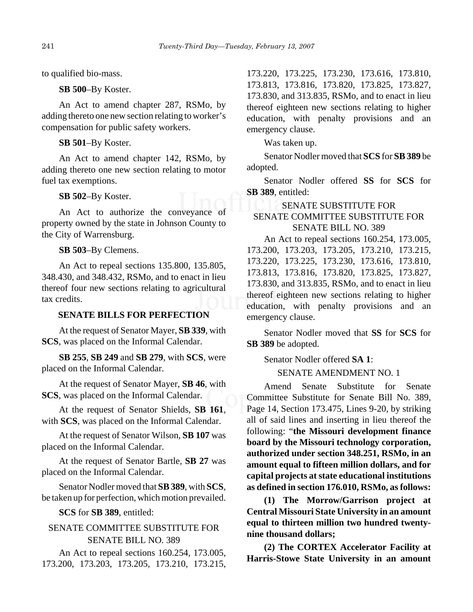to qualified bio-mass.

**SB 500**–By Koster.

An Act to amend chapter 287, RSMo, by adding thereto one new section relating to worker's compensation for public safety workers.

**SB 501**–By Koster.

An Act to amend chapter 142, RSMo, by adding thereto one new section relating to motor fuel tax exemptions.

#### **SB 502**–By Koster.

An Act to authorize the conveyance of property owned by the state in Johnson County to the City of Warrensburg.

**SB 503**–By Clemens.

An Act to repeal sections 135.800, 135.805, 348.430, and 348.432, RSMo, and to enact in lieu thereof four new sections relating to agricultural tax credits.

# **SENATE BILLS FOR PERFECTION**

At the request of Senator Mayer, **SB 339**, with **SCS**, was placed on the Informal Calendar.

**SB 255**, **SB 249** and **SB 279**, with **SCS**, were placed on the Informal Calendar.

At the request of Senator Mayer, **SB 46**, with **SCS**, was placed on the Informal Calendar.

At the request of Senator Shields, **SB 161**, with **SCS**, was placed on the Informal Calendar.

At the request of Senator Wilson, **SB 107** was placed on the Informal Calendar.

At the request of Senator Bartle, **SB 27** was placed on the Informal Calendar.

Senator Nodler moved that **SB 389**, with **SCS**, be taken up for perfection, which motion prevailed.

**SCS** for **SB 389**, entitled:

# SENATE COMMITTEE SUBSTITUTE FOR SENATE BILL NO. 389

An Act to repeal sections 160.254, 173.005, 173.200, 173.203, 173.205, 173.210, 173.215,

173.220, 173.225, 173.230, 173.616, 173.810, 173.813, 173.816, 173.820, 173.825, 173.827, 173.830, and 313.835, RSMo, and to enact in lieu thereof eighteen new sections relating to higher education, with penalty provisions and an emergency clause.

Was taken up.

Senator Nodler moved that **SCS** for **SB 389** be adopted.

Senator Nodler offered **SS** for **SCS** for **SB 389**, entitled:

# SENATE SUBSTITUTE FOR

# SENATE COMMITTEE SUBSTITUTE FOR SENATE BILL NO. 389

An Act to repeal sections 160.254, 173.005, 173.200, 173.203, 173.205, 173.210, 173.215, 173.220, 173.225, 173.230, 173.616, 173.810, 173.813, 173.816, 173.820, 173.825, 173.827, 173.830, and 313.835, RSMo, and to enact in lieu thereof eighteen new sections relating to higher education, with penalty provisions and an emergency clause.

Senator Nodler moved that **SS** for **SCS** for **SB 389** be adopted.

Senator Nodler offered **SA 1**:

SENATE AMENDMENT NO. 1

Amend Senate Substitute for Senate Committee Substitute for Senate Bill No. 389, Page 14, Section 173.475, Lines 9-20, by striking all of said lines and inserting in lieu thereof the following: "**the Missouri development finance board by the Missouri technology corporation, authorized under section 348.251, RSMo, in an amount equal to fifteen million dollars, and for capital projects at state educational institutions as defined in section 176.010, RSMo, as follows:**

**(1) The Morrow/Garrison project at Central Missouri State University in an amount equal to thirteen million two hundred twentynine thousand dollars;**

**(2) The CORTEX Accelerator Facility at Harris-Stowe State University in an amount**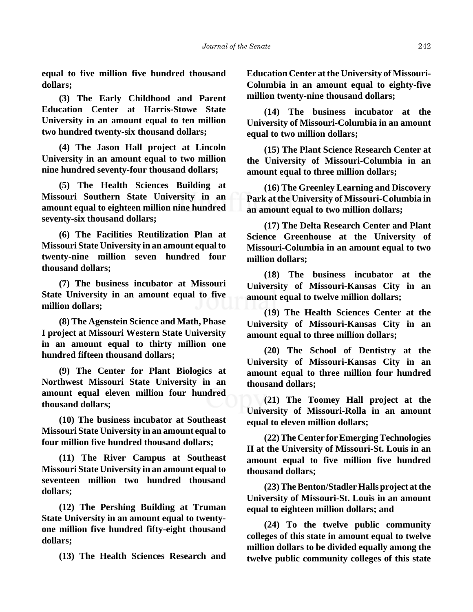**equal to five million five hundred thousand dollars;**

**(3) The Early Childhood and Parent Education Center at Harris-Stowe State University in an amount equal to ten million two hundred twenty-six thousand dollars;**

**(4) The Jason Hall project at Lincoln University in an amount equal to two million nine hundred seventy-four thousand dollars;**

**(5) The Health Sciences Building at Missouri Southern State University in an amount equal to eighteen million nine hundred seventy-six thousand dollars;**

**(6) The Facilities Reutilization Plan at Missouri State University in an amount equal to twenty-nine million seven hundred four thousand dollars;**

**(7) The business incubator at Missouri State University in an amount equal to five million dollars;**

**(8) The Agenstein Science and Math, Phase I project at Missouri Western State University in an amount equal to thirty million one hundred fifteen thousand dollars;**

**(9) The Center for Plant Biologics at Northwest Missouri State University in an amount equal eleven million four hundred thousand dollars;**

**(10) The business incubator at Southeast Missouri State University in an amount equal to four million five hundred thousand dollars;**

**(11) The River Campus at Southeast Missouri State University in an amount equal to seventeen million two hundred thousand dollars;**

**(12) The Pershing Building at Truman State University in an amount equal to twentyone million five hundred fifty-eight thousand dollars;**

**(13) The Health Sciences Research and**

**Education Center at the University of Missouri-Columbia in an amount equal to eighty-five million twenty-nine thousand dollars;**

**(14) The business incubator at the University of Missouri-Columbia in an amount equal to two million dollars;**

**(15) The Plant Science Research Center at the University of Missouri-Columbia in an amount equal to three million dollars;**

**(16) The Greenley Learning and Discovery Park at the University of Missouri-Columbia in an amount equal to two million dollars;**

**(17) The Delta Research Center and Plant Science Greenhouse at the University of Missouri-Columbia in an amount equal to two million dollars;**

**(18) The business incubator at the University of Missouri-Kansas City in an amount equal to twelve million dollars;**

**(19) The Health Sciences Center at the University of Missouri-Kansas City in an amount equal to three million dollars;**

**(20) The School of Dentistry at the University of Missouri-Kansas City in an amount equal to three million four hundred thousand dollars;**

**(21) The Toomey Hall project at the University of Missouri-Rolla in an amount equal to eleven million dollars;**

**(22) The Center for Emerging Technologies II at the University of Missouri-St. Louis in an amount equal to five million five hundred thousand dollars;**

**(23) The Benton/Stadler Halls project at the University of Missouri-St. Louis in an amount equal to eighteen million dollars; and**

**(24) To the twelve public community colleges of this state in amount equal to twelve million dollars to be divided equally among the twelve public community colleges of this state**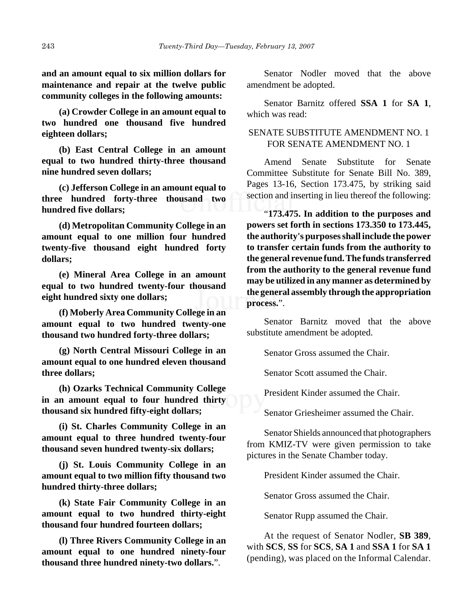**and an amount equal to six million dollars for maintenance and repair at the twelve public community colleges in the following amounts:**

**(a) Crowder College in an amount equal to two hundred one thousand five hundred eighteen dollars;**

**(b) East Central College in an amount equal to two hundred thirty-three thousand nine hundred seven dollars;**

**(c) Jefferson College in an amount equal to three hundred forty-three thousand two hundred five dollars;**

**(d) Metropolitan Community College in an amount equal to one million four hundred twenty-five thousand eight hundred forty dollars;**

**(e) Mineral Area College in an amount equal to two hundred twenty-four thousand eight hundred sixty one dollars;**

**(f) Moberly Area Community College in an amount equal to two hundred twenty-one thousand two hundred forty-three dollars;**

**(g) North Central Missouri College in an amount equal to one hundred eleven thousand three dollars;**

**(h) Ozarks Technical Community College in an amount equal to four hundred thirty thousand six hundred fifty-eight dollars;**

**(i) St. Charles Community College in an amount equal to three hundred twenty-four thousand seven hundred twenty-six dollars;**

**(j) St. Louis Community College in an amount equal to two million fifty thousand two hundred thirty-three dollars;**

**(k) State Fair Community College in an amount equal to two hundred thirty-eight thousand four hundred fourteen dollars;**

**(l) Three Rivers Community College in an amount equal to one hundred ninety-four thousand three hundred ninety-two dollars.**".

Senator Nodler moved that the above amendment be adopted.

Senator Barnitz offered **SSA 1** for **SA 1**, which was read:

# SENATE SUBSTITUTE AMENDMENT NO. 1 FOR SENATE AMENDMENT NO. 1

Amend Senate Substitute for Senate Committee Substitute for Senate Bill No. 389, Pages 13-16, Section 173.475, by striking said section and inserting in lieu thereof the following:

"**173.475. In addition to the purposes and powers set forth in sections 173.350 to 173.445, the authority's purposes shall include the power to transfer certain funds from the authority to the general revenue fund. The funds transferred from the authority to the general revenue fund may be utilized in any manner as determined by the general assembly through the appropriation process.**".

Senator Barnitz moved that the above substitute amendment be adopted.

Senator Gross assumed the Chair.

Senator Scott assumed the Chair.

President Kinder assumed the Chair.

Senator Griesheimer assumed the Chair.

Senator Shields announced that photographers from KMIZ-TV were given permission to take pictures in the Senate Chamber today.

President Kinder assumed the Chair.

Senator Gross assumed the Chair.

Senator Rupp assumed the Chair.

At the request of Senator Nodler, **SB 389**, with **SCS**, **SS** for **SCS**, **SA 1** and **SSA 1** for **SA 1** (pending), was placed on the Informal Calendar.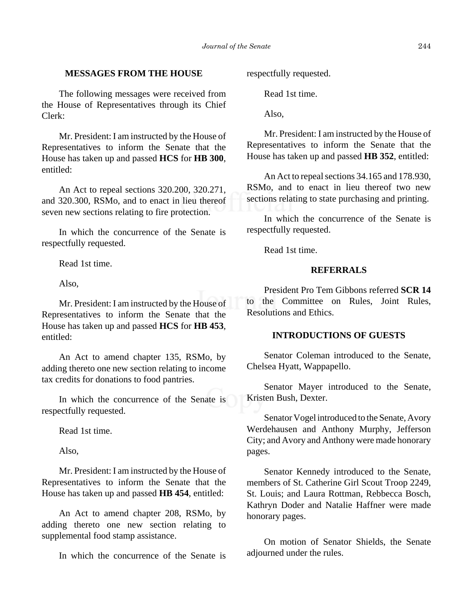## **MESSAGES FROM THE HOUSE**

The following messages were received from the House of Representatives through its Chief Clerk:

Mr. President: I am instructed by the House of Representatives to inform the Senate that the House has taken up and passed **HCS** for **HB 300**, entitled:

An Act to repeal sections 320.200, 320.271, and 320.300, RSMo, and to enact in lieu thereof seven new sections relating to fire protection.

In which the concurrence of the Senate is respectfully requested.

Read 1st time.

Also,

Mr. President: I am instructed by the House of Representatives to inform the Senate that the House has taken up and passed **HCS** for **HB 453**, entitled:

An Act to amend chapter 135, RSMo, by adding thereto one new section relating to income tax credits for donations to food pantries.

In which the concurrence of the Senate is respectfully requested.

Read 1st time.

Also,

Mr. President: I am instructed by the House of Representatives to inform the Senate that the House has taken up and passed **HB 454**, entitled:

An Act to amend chapter 208, RSMo, by adding thereto one new section relating to supplemental food stamp assistance.

In which the concurrence of the Senate is

respectfully requested.

Read 1st time.

Also,

Mr. President: I am instructed by the House of Representatives to inform the Senate that the House has taken up and passed **HB 352**, entitled:

An Act to repeal sections 34.165 and 178.930, RSMo, and to enact in lieu thereof two new sections relating to state purchasing and printing.

In which the concurrence of the Senate is respectfully requested.

Read 1st time.

# **REFERRALS**

President Pro Tem Gibbons referred **SCR 14** to the Committee on Rules, Joint Rules, Resolutions and Ethics.

#### **INTRODUCTIONS OF GUESTS**

Senator Coleman introduced to the Senate, Chelsea Hyatt, Wappapello.

Senator Mayer introduced to the Senate, Kristen Bush, Dexter.

Senator Vogel introduced to the Senate, Avory Werdehausen and Anthony Murphy, Jefferson City; and Avory and Anthony were made honorary pages.

Senator Kennedy introduced to the Senate, members of St. Catherine Girl Scout Troop 2249, St. Louis; and Laura Rottman, Rebbecca Bosch, Kathryn Doder and Natalie Haffner were made honorary pages.

On motion of Senator Shields, the Senate adjourned under the rules.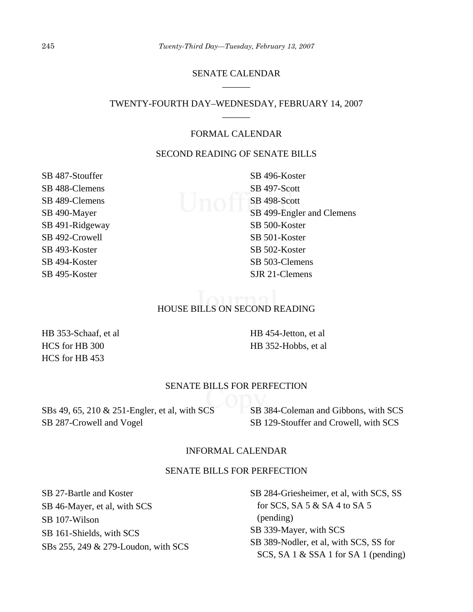# SENATE CALENDAR \_\_\_\_\_\_

## TWENTY-FOURTH DAY–WEDNESDAY, FEBRUARY 14, 2007 \_\_\_\_\_\_

## FORMAL CALENDAR

# SECOND READING OF SENATE BILLS

SB 487-Stouffer SB 488-Clemens SB 489-Clemens SB 490-Mayer SB 491-Ridgeway SB 492-Crowell SB 493-Koster SB 494-Koster SB 495-Koster

SB 496-Koster SB 497-Scott  $\bigcup$   $\bigcap$   $\bigcap$   $\bigcap$   $\bigcap$   $S$ B 498-Scott SB 499-Engler and Clemens SB 500-Koster SB 501-Koster SB 502-Koster SB 503-Clemens SJR 21-Clemens

#### HOUSE BILLS ON SECOND READING

HB 353-Schaaf, et al HCS for HB 300 HCS for HB 453

HB 454-Jetton, et al HB 352-Hobbs, et al

#### SENATE BILLS FOR PERFECTION

SBs 49, 65, 210 & 251-Engler, et al, with SCS SB 287-Crowell and Vogel

SB 384-Coleman and Gibbons, with SCS SB 129-Stouffer and Crowell, with SCS

## INFORMAL CALENDAR

#### SENATE BILLS FOR PERFECTION

SB 27-Bartle and Koster SB 46-Mayer, et al, with SCS SB 107-Wilson SB 161-Shields, with SCS SBs 255, 249 & 279-Loudon, with SCS

SB 284-Griesheimer, et al, with SCS, SS for SCS, SA 5 & SA 4 to SA 5 (pending) SB 339-Mayer, with SCS SB 389-Nodler, et al, with SCS, SS for SCS, SA 1 & SSA 1 for SA 1 (pending)